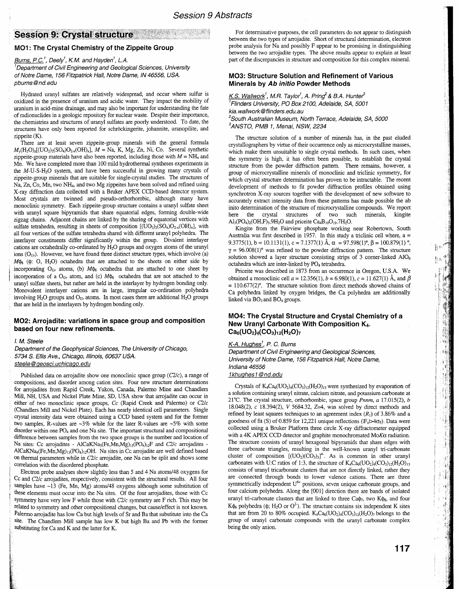# **Session 9: Crystal structure**

# **M01: The Crystal Chemistry of the Zippeite Group**

# Burns, P.C.<sup>1</sup>, Deely<sup>1</sup>, K.M. and Hayden<sup>1</sup>, L.A.

<sup>1</sup>Department of Civil Engineering and Geological Sciences, University of Notre Dame, 156 Fitzpatrick Hall, Notre Dame, IN 46556, USA. pbums@nd.edu

Hydrated uranyl sulfates are relatively widespread, and occur where sulfur is oxidized in the presence of uranium and acidic water. They impact the mobility of uranium in acid-mine drainage, and may also be important for understanding the fate of radionuclides in a geologic repository for nuclear waste. Despite their importance, the chemistries and structures of uranyl sulfates are poorly understood. To date, the structures have only been reported for schröckingerite, johannite, uranopilite, and zippeite (K).

There are at least seven zippeite-group minerals with the general formula  $M_{\nu}(\text{H}_2\text{O})_2[(\text{UO}_2)_2(\text{SO}_4)\text{O}_{2-x}(\text{OH})_x], M = \text{Na}, \text{K}, \text{Mg}, \text{Zn}, \text{Ni}, \text{Co}.$  Several synthetic zippeite-group materials have also been reported, including those with  $M = NH<sub>4</sub>$  and Mn. We have completed more than 100 mild hydrothermal syntheses experiments in the M-U-S-H*2*0 system, and have been successful in growing many crystals of zippeite-group minerals that are suitable for single-crystal studies. The structures of Na, Zn, Co, Mn, two NH<sub>4</sub>, and two Mg zippeites have been solved and refined using X-ray diffraction data collected with a Broker APEX CCD-based detector system. Most crystals are twinned and pseudo-orthorhombic, although many have monoclinic symmetry. Each zippeite-group structure contains a uranyl sulfate sheet with uranyl square bipyramids that share equatorial edges, forming double-wide zigzag chains. Adjacent chains are linked by the sharing of equatorial vertices with sulfate tetrahedra, resulting in sheets of composition  $[(UO<sub>2</sub>)<sub>2</sub>(SO<sub>4</sub>)O<sub>2-x</sub>(OH)<sub>x</sub>]$ , with all four vertices of the sulfate tetrahedra shared with different uranyl polyhedra. The interlayer constituents differ significantly within the group. Divalent interlayer cations are octahedrally co-ordinated by H<sub>2</sub>O groups and oxygen atoms of the uranyl ions *(O<sub>Ur</sub>)*. However, we have found three distinct structure types, which involve (a)  $M\phi_6$  ( $\phi$ : O, H<sub>2</sub>O) octahedra that are attached to the sheets on either side by incorporating  $O_{Ur}$  atoms, (b)  $M\phi_6$  octahedra that are attached to one sheet by incorporation of a  $O_{U_r}$  atom, and (c)  $M\phi_6$  octahedra that are not attached to the uranyl sulfate sheets, but rather are held in the interlayer by hydrogen bonding only. Monovalent interlayer cations are in large, irregular co-ordination polyhedra involving  $H_2O$  groups and  $O_{U}$  atoms. In most cases there are additional  $H_2O$  groups that are held in the interlayers by hydrogen bonding only.

## **M02: Arrojadite: variations in space group and composition based on four new refinements.**

### I. M. Steele

Department of the Geophysical Sciences, The University of Chicago, 5734 S. Ellis Ave., Chicago, Illinois, 60637 USA. steele@geosci.uchicago.edu

Published data on arrojadite show one monoclinic space group *(C2/c)*, a range of compositions, and disorder among cation sites. Four new structure determinations for arrojadites from Rapid Creek, Yukon, Canada, Palermo Mine and Chandlers Mill, NH, USA and Nickel Plate Mine, SD, USA show that arrojadite can occur in either of two monoclinic space groups, Cc (Rapid Creek and Palermo) or *Clle* (Chandlers Mill and Nickel Plate). Each has nearly identical cell parameters. Single crystal intensity data were obtained using a CCD based system and for the former two samples, R-values are  $-3\%$  while for the later R-values are  $-5\%$  with some disorder within one PO<sub>4</sub> and one Na site. The important structural and compositional difference between samples from the two space groups is the number and location of Na sites: Cc arrojadites - AlCaKNa<sub>s</sub>(Fe,Mn,Mg)<sub>13</sub>(PO<sub>4</sub>)<sub>12</sub>F and *C2/c* arrojadites -AlCaKNa<sub>4</sub>(Fe,Mn,Mg)<sub>13</sub>(PO<sub>4)12</sub>OH. Na sites in Cc arrojadite are well defined based on thermal parameters while in *Clle* arrojadite, one Na can be split and shows some correlation with the disordered phosphate.

Electron probe analyses show slightly less than 5 and 4 Na atoms/48 oxygens for Cc and *Clle* arrojadites, respectively, consistent with the structural results. All four samples have ~13 (Fe, Mn, Mg) atoms/48 oxygens although some substitution of these elements must occur into the Na sites. Of the four arrojadites, those with Cc symmetry have very low F while those with *Clle* symmetry are F rich. This may be related to symmetry and other compositional changes, but cause/effect is not known. Palermo arrojadite has low Ca but high levels of Sr and Ba that substitute into the Ca site. The Chandlers Mill sample has low K but high Ba and Pb with the former substituting for Ca and K and the latter for K.

For determinative purposes, the cell parameters do not appear to distinguish between the two types of arrojadite. Short of structural determination, electron probe analysis for Na and possibly F appear to be promising in distinguishing between the two arrojadite types. The above results appear to explain at least part of the discrepancies in structure and composition for this complex mineral.

## **M03: Structure Solution and Refinement of Various Minerals by Ab initio Powder Methods**

K.S. Wallwork<sup>1</sup>, M.R. Taylor<sup>1</sup>, A. Pring<sup>2</sup> & B.A. Hunter<sup>3</sup> 1Flinders University, PO Box 2100, Adelaide, SA, 5001 kia. wallwork@fIinders.edu.au <sup>2</sup>South Australian Museum, North Terrace, Adelaide, SA, 5000 <sup>3</sup>ANSTO, PMB 1, Menai, NSW, 2234

The structure solution of a number of minerals has, in the past eluded crystallographers by virtue of their occurrence only as microcrystalline masses, which make them unsuitable to single crystal methods. In such cases, when the symmetry is high, it has often been possible, to establish the crystal structure from the powder diffraction pattern. There remains, however, a group of microcrystalline minerals of monoclinic and triclinic symmetry, for which crystal structure determination has proven to be intractable. The recent development of methods to fit powder diffraction profiles obtained using synchrotron X-ray sources together with the development of new software to accurately extract intensity data from these patterns has made possible the ab inito determination of the structure of microcrystalline compounds. We report here the crystal structures of two such minerals, kingite  $Al_3(PO_4)_2(OH,F)_3.9H_2O$  and priceite  $Ca_4B_{10}O_{19}.7H_2O.$ 

Kingite from the Fairview phosphate working near Robertown, South Australia was first described in 1957. In this study a triclinic cell where,  $a =$ 9.3775(1), b = 10.1131(1), c = 7.1377(1)  $\text{\AA}$ ,  $\alpha$  = 97.598(1)°,  $\beta$  = 100.879(1) °,  $\gamma = 96.008(1)$ ° was refined to the powder diffraction pattern. The structure solution showed a layer structure consisting strips of 3 corner-linked  $AIO<sub>6</sub>$ octahedra which are inter-linked by PO<sub>4</sub> tetrahedra.

Priceite was described in 1873 from an occurrence in Oregon, U.S.A. We obtained a monoclinic cell  $a = 12.356(1)$ ,  $b = 6.980(1)$ ,  $c = 11.627(1)$  Å, and  $\beta$  $=110.677(2)$ °. The structure solution from direct methods showed chains of Ca polyhedra linked by oxygen bridges, the Ca polyhedra are additionally linked via BO<sub>3</sub> and BO<sub>4</sub> groups.

# **M04: The Crystal Structure and Crystal Chemistry of a New Uranyl Carbonate With Composition K<sub>4</sub> Ca6(U02)4(COa)12(H20h**

<u>K-A. Hughes<sup>1</sup>,</u> P. C. Burns Department of Civil Engineering and Geological Sciences, University of Notre Dame, 156 Fitzpatrick Hall, Notre Dame, Indiana 46556 1khuqhes1 @nd.edu

Crystals of  $K_4Ca_6({\rm UO_2})_4({\rm CO_3})_{12}({\rm H_2O})_{13}$  were synthesized by evaporation of a solution containing uranyl nitrate, calcium nitrate, and potassium carbonate at 21°e. The crystal structure, orthorhombic, space group *Pnnm, a* 17.015(2), *b* 18.048(2), c 18.394(2), V 5684.32, 2=4, was solved by direct methods and refined by least squares techniques to an agreement index  $(R<sub>1</sub>)$  of 3.86% and a goodness of fit (S) of 0.859 for 12,221 unique reflections ( $|F_0| > 4\sigma_F$ ). Data were collected using a Broker Platform three circle X-ray diffractometer equipped with a 4K APEX CCD detector and graphite monochromated MoKa radiation. The structure consists of uranyl hexagonal bipyramids that share edges with three carbonate triangles, resulting in the well-known uranyl tri-carbonate cluster of composition  $[(UO<sub>2</sub>)(CO<sub>3</sub>)<sub>3</sub>]<sup>4</sup>$ . As is common in other uranyl carbonates with U:C ratios of 1:3, the structure of  $K_4Ca_6({\rm UO}_2)_4({\rm CO}_3)_{12}({\rm H}_2{\rm O})_{13}$ consists of uranyl tricarbonate clusters that are not directly linked, rather they are connected through bonds to lower valence cations. There are three symmetrically independent U<sup>6+</sup> positions, seven unique carbonate groups, and four calcium polyhedra. Along the [001] direction there are bands of isolated uranyl tri-carbonate clusters that are linked to three  $Ca\phi_7$ , two K $\phi_8$ , and four K $\phi$ <sub>6</sub> polyhedra ( $\phi$ ; H<sub>2</sub>O or O<sup>2</sup>). The structure contains six independent K sites that are from 20 to 80% occupied.  $K_4Ca_6({\rm UO}_2)_4({\rm CO}_3)_{12}({\rm H}_2{\rm O})_7$  belongs to the group of uranyl carbonate compounds with the uranyl carbonate complex being the only anion.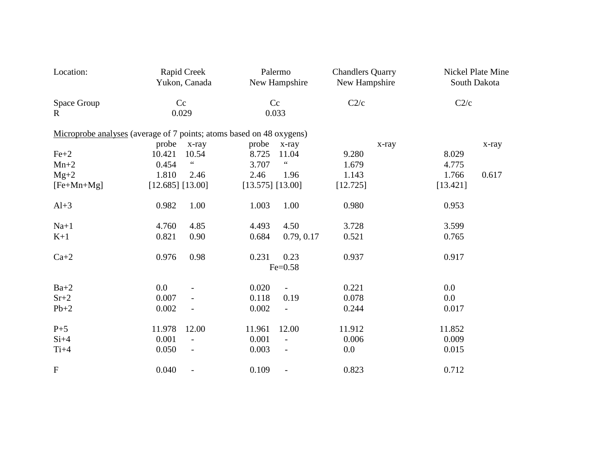| Location:                                                            |                    | Rapid Creek<br>Yukon, Canada |                    | Palermo<br>New Hampshire                  | <b>Chandlers Quarry</b><br>New Hampshire |          | Nickel Plate Mine<br>South Dakota |  |
|----------------------------------------------------------------------|--------------------|------------------------------|--------------------|-------------------------------------------|------------------------------------------|----------|-----------------------------------|--|
| Space Group<br>$\mathbf{R}$                                          | Cc<br>0.029        |                              | Cc<br>0.033        |                                           | C2/c                                     | C2/c     |                                   |  |
| Microprobe analyses (average of 7 points; atoms based on 48 oxygens) |                    |                              |                    |                                           |                                          |          |                                   |  |
|                                                                      | probe              | $x$ -ray                     | probe              | $x$ -ray                                  | x-ray                                    |          | x-ray                             |  |
| $Fe+2$                                                               | 10.421             | 10.54                        | 8.725              | 11.04                                     | 9.280                                    | 8.029    |                                   |  |
| $Mn+2$                                                               | 0.454              | $\zeta\,\zeta$               | 3.707              | $\boldsymbol{\zeta}$ $\boldsymbol{\zeta}$ | 1.679                                    | 4.775    |                                   |  |
| $Mg+2$                                                               | 1.810              | 2.46                         | 2.46               | 1.96                                      | 1.143                                    | 1.766    | 0.617                             |  |
| $[Fe+Mn+Mg]$                                                         | $[12.685]$ [13.00] |                              | $[13.575]$ [13.00] |                                           | [12.725]                                 | [13.421] |                                   |  |
| $Al+3$                                                               | 0.982              | 1.00                         | 1.003              | 1.00                                      | 0.980                                    | 0.953    |                                   |  |
| $Na+1$                                                               | 4.760              | 4.85                         | 4.493              | 4.50                                      | 3.728                                    | 3.599    |                                   |  |
| $K+1$                                                                | 0.821              | 0.90                         | 0.684              | 0.79, 0.17                                | 0.521                                    | 0.765    |                                   |  |
| $Ca+2$                                                               | 0.976              | 0.98                         | 0.231              | 0.23                                      | 0.937                                    | 0.917    |                                   |  |
|                                                                      |                    |                              |                    | $Fe = 0.58$                               |                                          |          |                                   |  |
| $Ba+2$                                                               | 0.0                |                              | 0.020              | $\overline{\phantom{a}}$                  | 0.221                                    | $0.0\,$  |                                   |  |
| $Sr+2$                                                               | 0.007              |                              | 0.118              | 0.19                                      | 0.078                                    | 0.0      |                                   |  |
| $Pb+2$                                                               | 0.002              |                              | 0.002              | $\overline{\phantom{a}}$                  | 0.244                                    | 0.017    |                                   |  |
| $P+5$                                                                | 11.978             | 12.00                        | 11.961             | 12.00                                     | 11.912                                   | 11.852   |                                   |  |
| $Si+4$                                                               | 0.001              | $\overline{a}$               | 0.001              | $\overline{\phantom{a}}$                  | 0.006                                    | 0.009    |                                   |  |
| $Ti+4$                                                               | 0.050              | $\qquad \qquad \blacksquare$ | 0.003              | $\overline{\phantom{a}}$                  | 0.0                                      | 0.015    |                                   |  |
| ${\bf F}$                                                            | 0.040              |                              | 0.109              |                                           | 0.823                                    | 0.712    |                                   |  |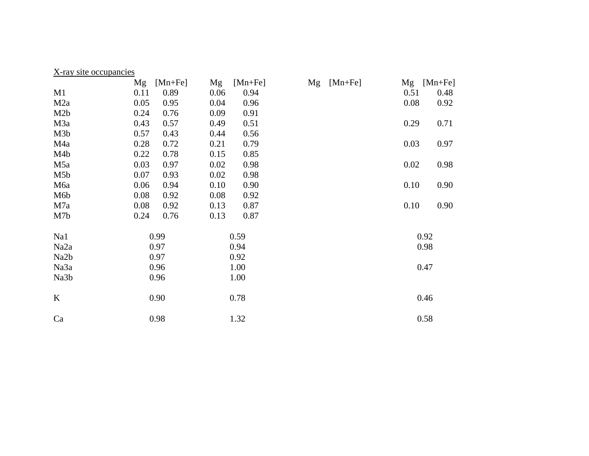| X-ray site occupancies |             |      |             |    |             |      |                                              |  |
|------------------------|-------------|------|-------------|----|-------------|------|----------------------------------------------|--|
| Mg                     | $[Mn + Fe]$ | Mg   | $[Mn + Fe]$ | Mg | $[Mn + Fe]$ | Mg   | $[Mn + Fe]$                                  |  |
| 0.11                   | 0.89        | 0.06 | 0.94        |    |             | 0.51 | 0.48                                         |  |
| 0.05                   | 0.95        | 0.04 | 0.96        |    |             |      | 0.92                                         |  |
| 0.24                   | 0.76        | 0.09 | 0.91        |    |             |      |                                              |  |
| 0.43                   | 0.57        | 0.49 | 0.51        |    |             |      | 0.71                                         |  |
| 0.57                   | 0.43        | 0.44 | 0.56        |    |             |      |                                              |  |
| 0.28                   | 0.72        | 0.21 | 0.79        |    |             |      | 0.97                                         |  |
| 0.22                   | 0.78        | 0.15 | 0.85        |    |             |      |                                              |  |
| 0.03                   | 0.97        | 0.02 | 0.98        |    |             |      | 0.98                                         |  |
| 0.07                   | 0.93        | 0.02 | 0.98        |    |             |      |                                              |  |
| 0.06                   | 0.94        | 0.10 | 0.90        |    |             |      | 0.90                                         |  |
| 0.08                   | 0.92        | 0.08 | 0.92        |    |             |      |                                              |  |
| 0.08                   | 0.92        | 0.13 | 0.87        |    |             |      | 0.90                                         |  |
| 0.24                   | 0.76        | 0.13 | 0.87        |    |             |      |                                              |  |
|                        |             |      |             |    |             |      |                                              |  |
| 0.99                   |             | 0.59 |             |    |             | 0.92 |                                              |  |
| 0.97                   |             | 0.94 |             |    |             | 0.98 |                                              |  |
| 0.97                   |             | 0.92 |             |    |             |      |                                              |  |
| 0.96                   |             | 1.00 |             |    |             |      | 0.47                                         |  |
| 0.96                   |             | 1.00 |             |    |             |      |                                              |  |
|                        |             |      |             |    |             |      |                                              |  |
| 0.90                   |             | 0.78 |             |    |             |      | 0.46                                         |  |
|                        |             |      |             |    |             |      |                                              |  |
| 0.98                   |             | 1.32 |             |    |             |      | 0.58                                         |  |
|                        |             |      |             |    |             |      | 0.08<br>0.29<br>0.03<br>0.02<br>0.10<br>0.10 |  |